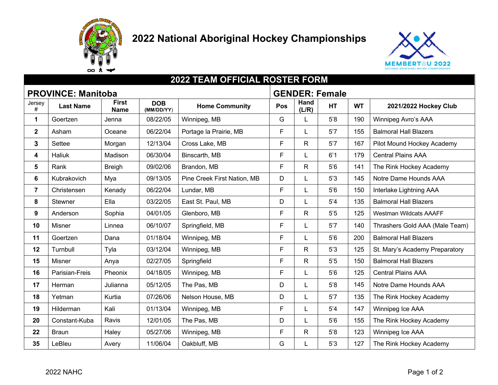

## **2022 National Aboriginal Hockey Championships**



| <b>2022 TEAM OFFICIAL ROSTER FORM</b> |                  |                             |                          |                             |                       |               |                |           |                                |
|---------------------------------------|------------------|-----------------------------|--------------------------|-----------------------------|-----------------------|---------------|----------------|-----------|--------------------------------|
| <b>PROVINCE: Manitoba</b>             |                  |                             |                          |                             | <b>GENDER: Female</b> |               |                |           |                                |
| Jersey<br>#                           | <b>Last Name</b> | <b>First</b><br><b>Name</b> | <b>DOB</b><br>(MM/DD/YY) | <b>Home Community</b>       | Pos                   | Hand<br>(L/R) | <b>HT</b>      | <b>WT</b> | 2021/2022 Hockey Club          |
| 1                                     | Goertzen         | Jenna                       | 08/22/05                 | Winnipeg, MB                | G                     | L             | 5'8            | 190       | Winnipeg Avro's AAA            |
| $\mathbf{2}$                          | Asham            | Oceane                      | 06/22/04                 | Portage la Prairie, MB      | F                     |               | 5'7            | 155       | <b>Balmoral Hall Blazers</b>   |
| 3                                     | Settee           | Morgan                      | 12/13/04                 | Cross Lake, MB              | F                     | $\mathsf{R}$  | 5'7            | 167       | Pilot Mound Hockey Academy     |
| 4                                     | <b>Haliuk</b>    | Madison                     | 06/30/04                 | Binscarth, MB               | F                     |               | 6'1            | 179       | <b>Central Plains AAA</b>      |
| 5                                     | Rank             | <b>Breigh</b>               | 09/02/06                 | Brandon, MB                 | F                     | $\mathsf{R}$  | 5'6            | 141       | The Rink Hockey Academy        |
| 6                                     | Kubrakovich      | Mya                         | 09/13/05                 | Pine Creek First Nation, MB | D                     | L             | 5'3            | 145       | Notre Dame Hounds AAA          |
| $\overline{7}$                        | Christensen      | Kenady                      | 06/22/04                 | Lundar, MB                  | F                     |               | 5'6            | 150       | Interlake Lightning AAA        |
| 8                                     | Stewner          | Ella                        | 03/22/05                 | East St. Paul, MB           | D                     | L             | 5'4            | 135       | <b>Balmoral Hall Blazers</b>   |
| 9                                     | Anderson         | Sophia                      | 04/01/05                 | Glenboro, MB                | F                     | R             | 5 <sup>5</sup> | 125       | <b>Westman Wildcats AAAFF</b>  |
| 10                                    | Misner           | Linnea                      | 06/10/07                 | Springfield, MB             | F                     |               | 5'7            | 140       | Thrashers Gold AAA (Male Team) |
| 11                                    | Goertzen         | Dana                        | 01/18/04                 | Winnipeg, MB                | F                     |               | 5'6            | 200       | <b>Balmoral Hall Blazers</b>   |
| 12                                    | Turnbull         | Tyla                        | 03/12/04                 | Winnipeg, MB                | F                     | $\mathsf{R}$  | 5'3            | 125       | St. Mary's Academy Preparatory |
| 15                                    | Misner           | Anya                        | 02/27/05                 | Springfield                 | F                     | R             | 5'5            | 150       | <b>Balmoral Hall Blazers</b>   |
| 16                                    | Parisian-Freis   | Pheonix                     | 04/18/05                 | Winnipeg, MB                | F                     |               | 5'6            | 125       | <b>Central Plains AAA</b>      |
| 17                                    | Herman           | Julianna                    | 05/12/05                 | The Pas, MB                 | D                     | L             | 5'8            | 145       | Notre Dame Hounds AAA          |
| 18                                    | Yetman           | Kurtia                      | 07/26/06                 | Nelson House, MB            | D                     |               | 5'7            | 135       | The Rink Hockey Academy        |
| 19                                    | Hilderman        | Kali                        | 01/13/04                 | Winnipeg, MB                | F                     | L             | 5'4            | 147       | Winnipeg Ice AAA               |
| 20                                    | Constant-Kuba    | Ravis                       | 12/01/05                 | The Pas, MB                 | D                     |               | 5'6            | 155       | The Rink Hockey Academy        |
| 22                                    | <b>Braun</b>     | Haley                       | 05/27/06                 | Winnipeg, MB                | F                     | $\mathsf{R}$  | 5'8            | 123       | Winnipeg Ice AAA               |
| 35                                    | LeBleu           | Avery                       | 11/06/04                 | Oakbluff, MB                | G                     |               | 5'3            | 127       | The Rink Hockey Academy        |